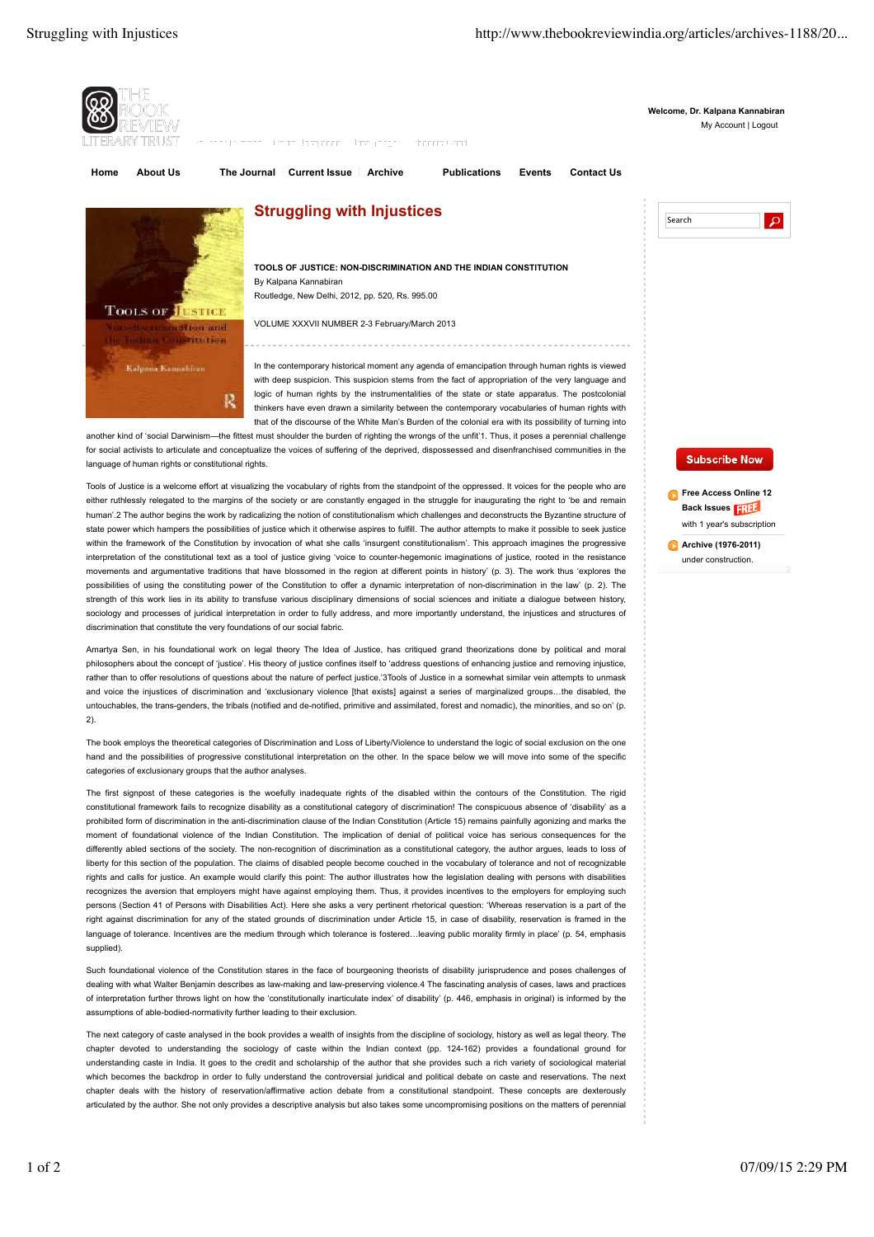

another kind of 'social Darwinism—the fittest must shoulder the burden of righting the wrongs of the unfit'1. Thus, it poses a perennial challenge for social activists to articulate and conceptualize the voices of suffering of the deprived, dispossessed and disenfranchised communities in the language of human rights or constitutional rights.

Tools of Justice is a welcome effort at visualizing the vocabulary of rights from the standpoint of the oppressed. It voices for the people who are either ruthlessly relegated to the margins of the society or are constantly engaged in the struggle for inaugurating the right to 'be and remain human'.2 The author begins the work by radicalizing the notion of constitutionalism which challenges and deconstructs the Byzantine structure of state power which hampers the possibilities of justice which it otherwise aspires to fulfill. The author attempts to make it possible to seek justice within the framework of the Constitution by invocation of what she calls 'insurgent constitutionalism'. This approach imagines the progressive interpretation of the constitutional text as a tool of justice giving 'voice to counter-hegemonic imaginations of justice, rooted in the resistance movements and argumentative traditions that have blossomed in the region at different points in history' (p. 3). The work thus 'explores the possibilities of using the constituting power of the Constitution to offer a dynamic interpretation of non-discrimination in the law' (p. 2). The strength of this work lies in its ability to transfuse various disciplinary dimensions of social sciences and initiate a dialogue between history, sociology and processes of juridical interpretation in order to fully address, and more importantly understand, the injustices and structures of discrimination that constitute the very foundations of our social fabric.

Amartya Sen, in his foundational work on legal theory The Idea of Justice, has critiqued grand theorizations done by political and moral philosophers about the concept of 'justice'. His theory of justice confines itself to 'address questions of enhancing justice and removing injustice, rather than to offer resolutions of questions about the nature of perfect justice.'3Tools of Justice in a somewhat similar vein attempts to unmask and voice the injustices of discrimination and 'exclusionary violence [that exists] against a series of marginalized groups…the disabled, the untouchables, the trans-genders, the tribals (notified and de-notified, primitive and assimilated, forest and nomadic), the minorities, and so on' (p. 2).

The book employs the theoretical categories of Discrimination and Loss of Liberty/Violence to understand the logic of social exclusion on the one hand and the possibilities of progressive constitutional interpretation on the other. In the space below we will move into some of the specific categories of exclusionary groups that the author analyses.

The first signpost of these categories is the woefully inadequate rights of the disabled within the contours of the Constitution. The rigid constitutional framework fails to recognize disability as a constitutional category of discrimination! The conspicuous absence of 'disability' as a prohibited form of discrimination in the anti-discrimination clause of the Indian Constitution (Article 15) remains painfully agonizing and marks the moment of foundational violence of the Indian Constitution. The implication of denial of political voice has serious consequences for the differently abled sections of the society. The non-recognition of discrimination as a constitutional category, the author argues, leads to loss of liberty for this section of the population. The claims of disabled people become couched in the vocabulary of tolerance and not of recognizable rights and calls for justice. An example would clarify this point: The author illustrates how the legislation dealing with persons with disabilities recognizes the aversion that employers might have against employing them. Thus, it provides incentives to the employers for employing such persons (Section 41 of Persons with Disabilities Act). Here she asks a very pertinent rhetorical question: 'Whereas reservation is a part of the right against discrimination for any of the stated grounds of discrimination under Article 15, in case of disability, reservation is framed in the language of tolerance. Incentives are the medium through which tolerance is fostered…leaving public morality firmly in place' (p. 54, emphasis supplied).

Such foundational violence of the Constitution stares in the face of bourgeoning theorists of disability jurisprudence and poses challenges of dealing with what Walter Benjamin describes as law-making and law-preserving violence.4 The fascinating analysis of cases, laws and practices of interpretation further throws light on how the 'constitutionally inarticulate index' of disability' (p. 446, emphasis in original) is informed by the assumptions of able-bodied-normativity further leading to their exclusion.

The next category of caste analysed in the book provides a wealth of insights from the discipline of sociology, history as well as legal theory. The chapter devoted to understanding the sociology of caste within the Indian context (pp. 124-162) provides a foundational ground for understanding caste in India. It goes to the credit and scholarship of the author that she provides such a rich variety of sociological material which becomes the backdrop in order to fully understand the controversial juridical and political debate on caste and reservations. The next chapter deals with the history of reservation/affirmative action debate from a constitutional standpoint. These concepts are dexterously articulated by the author. She not only provides a descriptive analysis but also takes some uncompromising positions on the matters of perennial

## **Subscribe Now**

**Free Access Online 12 Back Issues**  with 1 year's subscription

**Archive (1976-2011)** under construction.